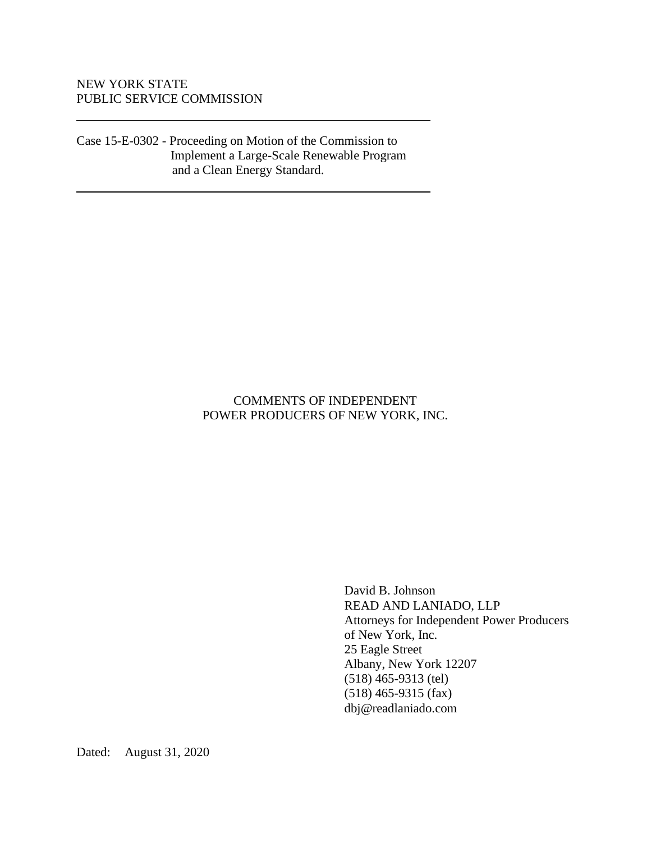## NEW YORK STATE PUBLIC SERVICE COMMISSION

Case 15-E-0302 - Proceeding on Motion of the Commission to Implement a Large-Scale Renewable Program and a Clean Energy Standard.

### COMMENTS OF INDEPENDENT POWER PRODUCERS OF NEW YORK, INC.

David B. Johnson READ AND LANIADO, LLP Attorneys for Independent Power Producers of New York, Inc. 25 Eagle Street Albany, New York 12207 (518) 465-9313 (tel) (518) 465-9315 (fax) dbj@readlaniado.com

Dated: August 31, 2020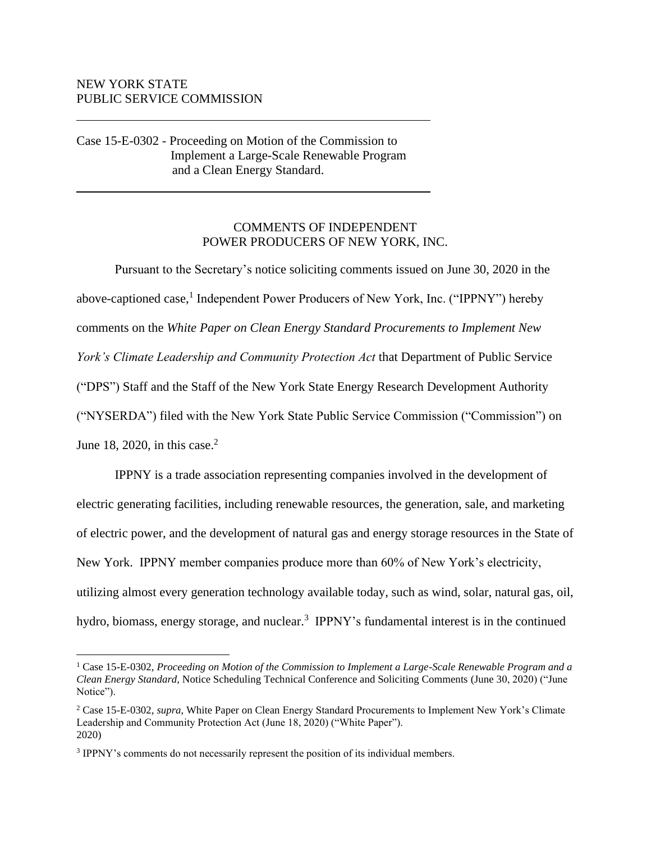### NEW YORK STATE PUBLIC SERVICE COMMISSION

Case 15-E-0302 - Proceeding on Motion of the Commission to Implement a Large-Scale Renewable Program and a Clean Energy Standard.

## COMMENTS OF INDEPENDENT POWER PRODUCERS OF NEW YORK, INC.

Pursuant to the Secretary's notice soliciting comments issued on June 30, 2020 in the above-captioned case,<sup>1</sup> Independent Power Producers of New York, Inc. ("IPPNY") hereby comments on the *White Paper on Clean Energy Standard Procurements to Implement New York's Climate Leadership and Community Protection Act* that Department of Public Service ("DPS") Staff and the Staff of the New York State Energy Research Development Authority ("NYSERDA") filed with the New York State Public Service Commission ("Commission") on

June 18, 2020, in this case.<sup>2</sup>

IPPNY is a trade association representing companies involved in the development of electric generating facilities, including renewable resources, the generation, sale, and marketing of electric power, and the development of natural gas and energy storage resources in the State of New York. IPPNY member companies produce more than 60% of New York's electricity, utilizing almost every generation technology available today, such as wind, solar, natural gas, oil, hydro, biomass, energy storage, and nuclear.<sup>3</sup> IPPNY's fundamental interest is in the continued

<sup>1</sup> Case 15-E-0302, *Proceeding on Motion of the Commission to Implement a Large-Scale Renewable Program and a Clean Energy Standard*, Notice Scheduling Technical Conference and Soliciting Comments (June 30, 2020) ("June Notice").

<sup>2</sup> Case 15-E-0302, *supra*, White Paper on Clean Energy Standard Procurements to Implement New York's Climate Leadership and Community Protection Act (June 18, 2020) ("White Paper"). 2020)

<sup>&</sup>lt;sup>3</sup> IPPNY's comments do not necessarily represent the position of its individual members.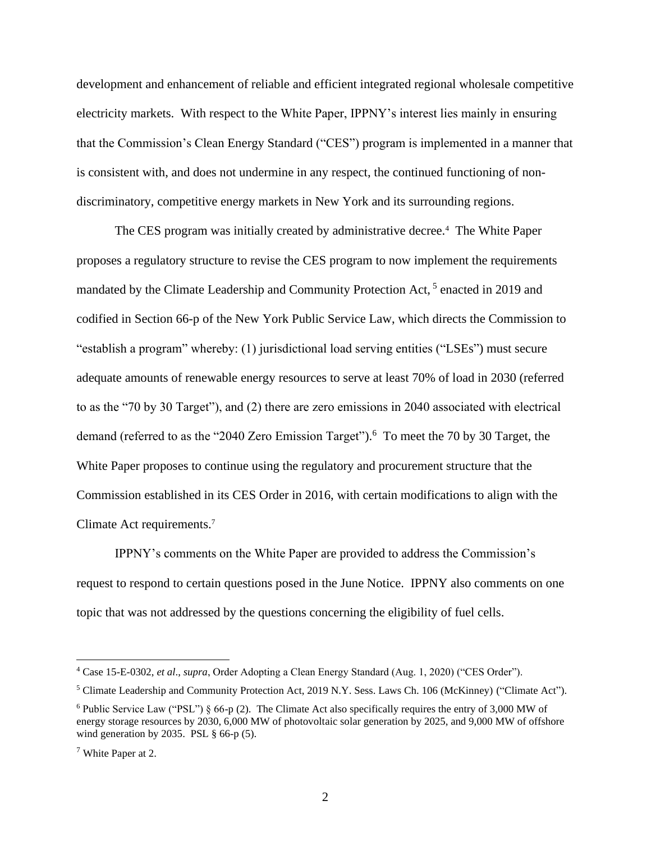development and enhancement of reliable and efficient integrated regional wholesale competitive electricity markets. With respect to the White Paper, IPPNY's interest lies mainly in ensuring that the Commission's Clean Energy Standard ("CES") program is implemented in a manner that is consistent with, and does not undermine in any respect, the continued functioning of nondiscriminatory, competitive energy markets in New York and its surrounding regions.

The CES program was initially created by administrative decree. 4 The White Paper proposes a regulatory structure to revise the CES program to now implement the requirements mandated by the Climate Leadership and Community Protection Act,<sup>5</sup> enacted in 2019 and codified in Section 66-p of the New York Public Service Law, which directs the Commission to "establish a program" whereby: (1) jurisdictional load serving entities ("LSEs") must secure adequate amounts of renewable energy resources to serve at least 70% of load in 2030 (referred to as the "70 by 30 Target"), and (2) there are zero emissions in 2040 associated with electrical demand (referred to as the "2040 Zero Emission Target"). <sup>6</sup> To meet the 70 by 30 Target, the White Paper proposes to continue using the regulatory and procurement structure that the Commission established in its CES Order in 2016, with certain modifications to align with the Climate Act requirements. 7

IPPNY's comments on the White Paper are provided to address the Commission's request to respond to certain questions posed in the June Notice. IPPNY also comments on one topic that was not addressed by the questions concerning the eligibility of fuel cells.

<sup>4</sup> Case 15-E-0302, *et al*., *supra*, Order Adopting a Clean Energy Standard (Aug. 1, 2020) ("CES Order").

<sup>5</sup> Climate Leadership and Community Protection Act, 2019 N.Y. Sess. Laws Ch. 106 (McKinney) ("Climate Act").

<sup>&</sup>lt;sup>6</sup> Public Service Law ("PSL")  $\S$  66-p (2). The Climate Act also specifically requires the entry of 3,000 MW of energy storage resources by 2030, 6,000 MW of photovoltaic solar generation by 2025, and 9,000 MW of offshore wind generation by 2035. PSL  $\S$  66-p (5).

<sup>7</sup> White Paper at 2.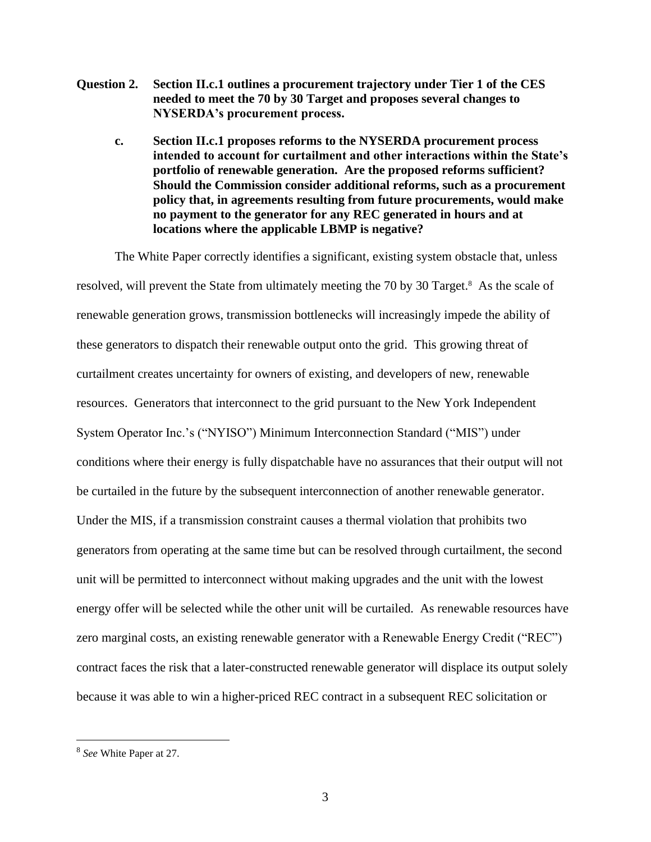- **Question 2. Section II.c.1 outlines a procurement trajectory under Tier 1 of the CES needed to meet the 70 by 30 Target and proposes several changes to NYSERDA's procurement process.**
	- **c. Section II.c.1 proposes reforms to the NYSERDA procurement process intended to account for curtailment and other interactions within the State's portfolio of renewable generation. Are the proposed reforms sufficient? Should the Commission consider additional reforms, such as a procurement policy that, in agreements resulting from future procurements, would make no payment to the generator for any REC generated in hours and at locations where the applicable LBMP is negative?**

The White Paper correctly identifies a significant, existing system obstacle that, unless resolved, will prevent the State from ultimately meeting the 70 by 30 Target.<sup>8</sup> As the scale of renewable generation grows, transmission bottlenecks will increasingly impede the ability of these generators to dispatch their renewable output onto the grid. This growing threat of curtailment creates uncertainty for owners of existing, and developers of new, renewable resources. Generators that interconnect to the grid pursuant to the New York Independent System Operator Inc.'s ("NYISO") Minimum Interconnection Standard ("MIS") under conditions where their energy is fully dispatchable have no assurances that their output will not be curtailed in the future by the subsequent interconnection of another renewable generator. Under the MIS, if a transmission constraint causes a thermal violation that prohibits two generators from operating at the same time but can be resolved through curtailment, the second unit will be permitted to interconnect without making upgrades and the unit with the lowest energy offer will be selected while the other unit will be curtailed. As renewable resources have zero marginal costs, an existing renewable generator with a Renewable Energy Credit ("REC") contract faces the risk that a later-constructed renewable generator will displace its output solely because it was able to win a higher-priced REC contract in a subsequent REC solicitation or

<sup>8</sup> *See* White Paper at 27.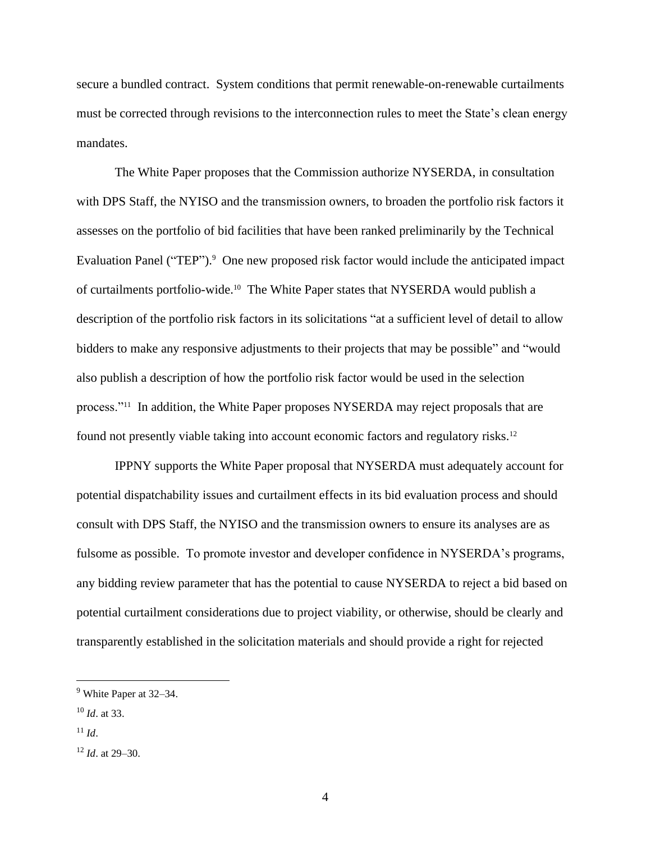secure a bundled contract. System conditions that permit renewable-on-renewable curtailments must be corrected through revisions to the interconnection rules to meet the State's clean energy mandates.

The White Paper proposes that the Commission authorize NYSERDA, in consultation with DPS Staff, the NYISO and the transmission owners, to broaden the portfolio risk factors it assesses on the portfolio of bid facilities that have been ranked preliminarily by the Technical Evaluation Panel ("TEP").<sup>9</sup> One new proposed risk factor would include the anticipated impact of curtailments portfolio-wide.<sup>10</sup> The White Paper states that NYSERDA would publish a description of the portfolio risk factors in its solicitations "at a sufficient level of detail to allow bidders to make any responsive adjustments to their projects that may be possible" and "would also publish a description of how the portfolio risk factor would be used in the selection process."<sup>11</sup> In addition, the White Paper proposes NYSERDA may reject proposals that are found not presently viable taking into account economic factors and regulatory risks.<sup>12</sup>

IPPNY supports the White Paper proposal that NYSERDA must adequately account for potential dispatchability issues and curtailment effects in its bid evaluation process and should consult with DPS Staff, the NYISO and the transmission owners to ensure its analyses are as fulsome as possible. To promote investor and developer confidence in NYSERDA's programs, any bidding review parameter that has the potential to cause NYSERDA to reject a bid based on potential curtailment considerations due to project viability, or otherwise, should be clearly and transparently established in the solicitation materials and should provide a right for rejected

- <sup>10</sup> *Id*. at 33.
- $11$  *Id.*

<sup>9</sup> White Paper at 32–34.

<sup>12</sup> *Id*. at 29–30.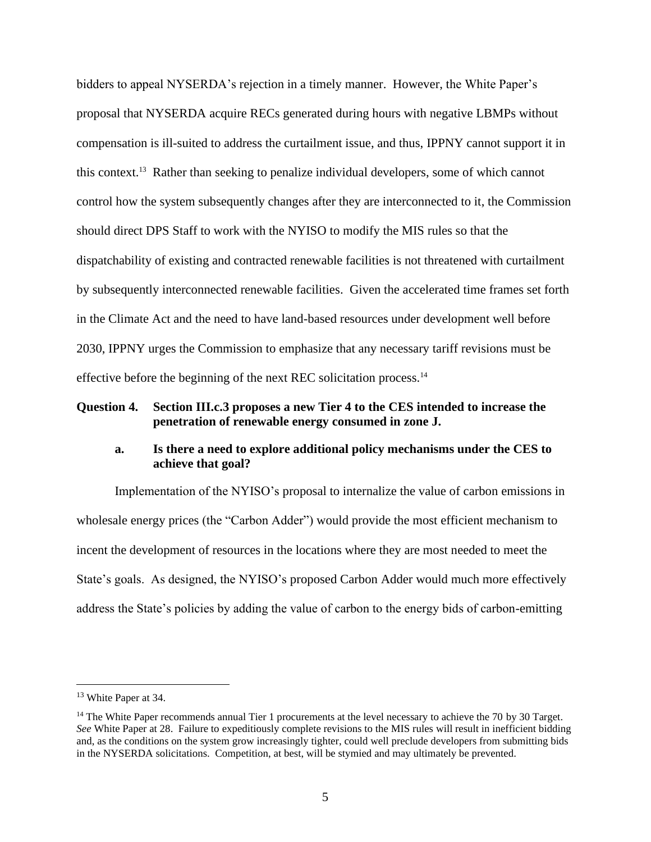bidders to appeal NYSERDA's rejection in a timely manner. However, the White Paper's proposal that NYSERDA acquire RECs generated during hours with negative LBMPs without compensation is ill-suited to address the curtailment issue, and thus, IPPNY cannot support it in this context. 13 Rather than seeking to penalize individual developers, some of which cannot control how the system subsequently changes after they are interconnected to it, the Commission should direct DPS Staff to work with the NYISO to modify the MIS rules so that the dispatchability of existing and contracted renewable facilities is not threatened with curtailment by subsequently interconnected renewable facilities. Given the accelerated time frames set forth in the Climate Act and the need to have land-based resources under development well before 2030, IPPNY urges the Commission to emphasize that any necessary tariff revisions must be effective before the beginning of the next REC solicitation process.<sup>14</sup>

#### **Question 4. Section III.c.3 proposes a new Tier 4 to the CES intended to increase the penetration of renewable energy consumed in zone J.**

## **a. Is there a need to explore additional policy mechanisms under the CES to achieve that goal?**

Implementation of the NYISO's proposal to internalize the value of carbon emissions in wholesale energy prices (the "Carbon Adder") would provide the most efficient mechanism to incent the development of resources in the locations where they are most needed to meet the State's goals. As designed, the NYISO's proposed Carbon Adder would much more effectively address the State's policies by adding the value of carbon to the energy bids of carbon-emitting

<sup>13</sup> White Paper at 34.

 $14$  The White Paper recommends annual Tier 1 procurements at the level necessary to achieve the 70 by 30 Target. *See* White Paper at 28. Failure to expeditiously complete revisions to the MIS rules will result in inefficient bidding and, as the conditions on the system grow increasingly tighter, could well preclude developers from submitting bids in the NYSERDA solicitations. Competition, at best, will be stymied and may ultimately be prevented.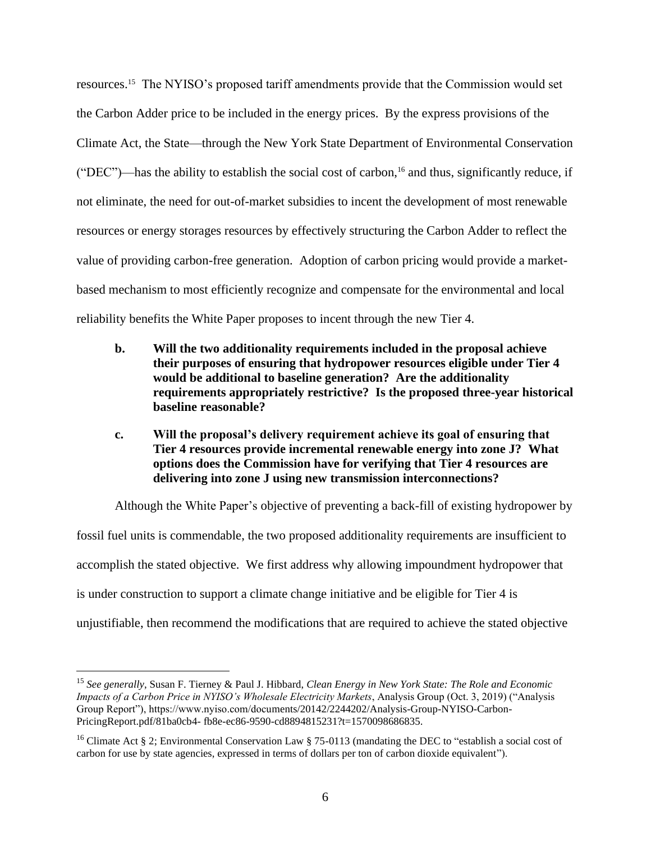resources.<sup>15</sup> The NYISO's proposed tariff amendments provide that the Commission would set the Carbon Adder price to be included in the energy prices. By the express provisions of the Climate Act, the State—through the New York State Department of Environmental Conservation ("DEC")—has the ability to establish the social cost of carbon,<sup>16</sup> and thus, significantly reduce, if not eliminate, the need for out-of-market subsidies to incent the development of most renewable resources or energy storages resources by effectively structuring the Carbon Adder to reflect the value of providing carbon-free generation. Adoption of carbon pricing would provide a marketbased mechanism to most efficiently recognize and compensate for the environmental and local reliability benefits the White Paper proposes to incent through the new Tier 4.

- **b. Will the two additionality requirements included in the proposal achieve their purposes of ensuring that hydropower resources eligible under Tier 4 would be additional to baseline generation? Are the additionality requirements appropriately restrictive? Is the proposed three-year historical baseline reasonable?**
- **c. Will the proposal's delivery requirement achieve its goal of ensuring that Tier 4 resources provide incremental renewable energy into zone J? What options does the Commission have for verifying that Tier 4 resources are delivering into zone J using new transmission interconnections?**

Although the White Paper's objective of preventing a back-fill of existing hydropower by fossil fuel units is commendable, the two proposed additionality requirements are insufficient to accomplish the stated objective. We first address why allowing impoundment hydropower that is under construction to support a climate change initiative and be eligible for Tier 4 is unjustifiable, then recommend the modifications that are required to achieve the stated objective

<sup>15</sup> *See generally*, Susan F. Tierney & Paul J. Hibbard, *Clean Energy in New York State: The Role and Economic Impacts of a Carbon Price in NYISO's Wholesale Electricity Markets*, Analysis Group (Oct. 3, 2019) ("Analysis Group Report"), https://www.nyiso.com/documents/20142/2244202/Analysis-Group-NYISO-Carbon-PricingReport.pdf/81ba0cb4- fb8e-ec86-9590-cd8894815231?t=1570098686835.

<sup>&</sup>lt;sup>16</sup> Climate Act § 2; Environmental Conservation Law § 75-0113 (mandating the DEC to "establish a social cost of carbon for use by state agencies, expressed in terms of dollars per ton of carbon dioxide equivalent").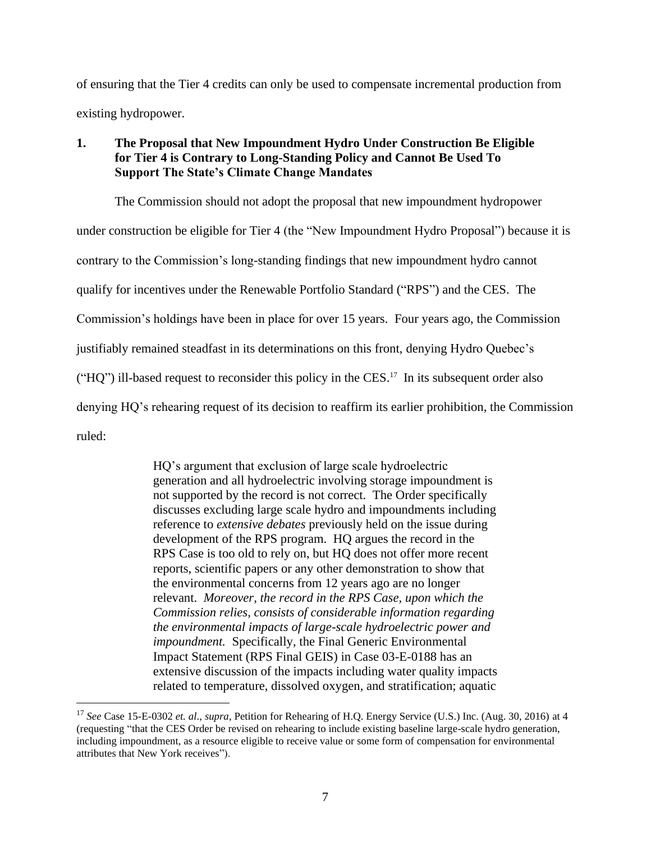of ensuring that the Tier 4 credits can only be used to compensate incremental production from existing hydropower.

## **1. The Proposal that New Impoundment Hydro Under Construction Be Eligible for Tier 4 is Contrary to Long-Standing Policy and Cannot Be Used To Support The State's Climate Change Mandates**

The Commission should not adopt the proposal that new impoundment hydropower under construction be eligible for Tier 4 (the "New Impoundment Hydro Proposal") because it is contrary to the Commission's long-standing findings that new impoundment hydro cannot qualify for incentives under the Renewable Portfolio Standard ("RPS") and the CES. The Commission's holdings have been in place for over 15 years. Four years ago, the Commission justifiably remained steadfast in its determinations on this front, denying Hydro Quebec's ("HQ") ill-based request to reconsider this policy in the CES.<sup>17</sup> In its subsequent order also denying HQ's rehearing request of its decision to reaffirm its earlier prohibition, the Commission ruled:

> HQ's argument that exclusion of large scale hydroelectric generation and all hydroelectric involving storage impoundment is not supported by the record is not correct. The Order specifically discusses excluding large scale hydro and impoundments including reference to *extensive debates* previously held on the issue during development of the RPS program. HQ argues the record in the RPS Case is too old to rely on, but HQ does not offer more recent reports, scientific papers or any other demonstration to show that the environmental concerns from 12 years ago are no longer relevant. *Moreover, the record in the RPS Case, upon which the Commission relies, consists of considerable information regarding the environmental impacts of large-scale hydroelectric power and impoundment.* Specifically, the Final Generic Environmental Impact Statement (RPS Final GEIS) in Case 03-E-0188 has an extensive discussion of the impacts including water quality impacts related to temperature, dissolved oxygen, and stratification; aquatic

<sup>17</sup> *See* Case 15-E-0302 *et. al*., *supra*, Petition for Rehearing of H.Q. Energy Service (U.S.) Inc. (Aug. 30, 2016) at 4 (requesting "that the CES Order be revised on rehearing to include existing baseline large-scale hydro generation, including impoundment, as a resource eligible to receive value or some form of compensation for environmental attributes that New York receives").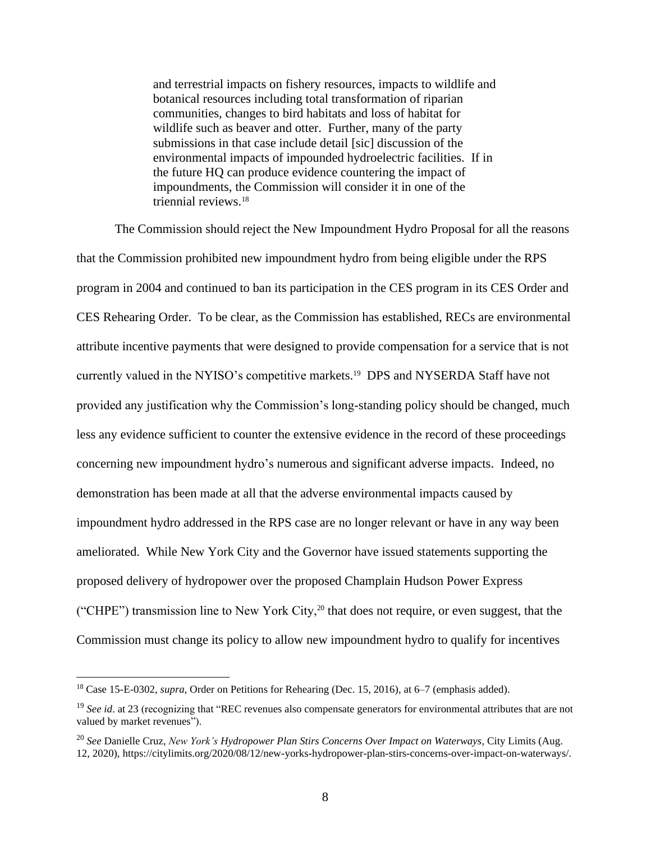and terrestrial impacts on fishery resources, impacts to wildlife and botanical resources including total transformation of riparian communities, changes to bird habitats and loss of habitat for wildlife such as beaver and otter. Further, many of the party submissions in that case include detail [sic] discussion of the environmental impacts of impounded hydroelectric facilities. If in the future HQ can produce evidence countering the impact of impoundments, the Commission will consider it in one of the triennial reviews.<sup>18</sup>

The Commission should reject the New Impoundment Hydro Proposal for all the reasons that the Commission prohibited new impoundment hydro from being eligible under the RPS program in 2004 and continued to ban its participation in the CES program in its CES Order and CES Rehearing Order. To be clear, as the Commission has established, RECs are environmental attribute incentive payments that were designed to provide compensation for a service that is not currently valued in the NYISO's competitive markets.<sup>19</sup> DPS and NYSERDA Staff have not provided any justification why the Commission's long-standing policy should be changed, much less any evidence sufficient to counter the extensive evidence in the record of these proceedings concerning new impoundment hydro's numerous and significant adverse impacts. Indeed, no demonstration has been made at all that the adverse environmental impacts caused by impoundment hydro addressed in the RPS case are no longer relevant or have in any way been ameliorated. While New York City and the Governor have issued statements supporting the proposed delivery of hydropower over the proposed Champlain Hudson Power Express ("CHPE") transmission line to New York City,<sup>20</sup> that does not require, or even suggest, that the Commission must change its policy to allow new impoundment hydro to qualify for incentives

<sup>18</sup> Case 15-E-0302, *supra*, Order on Petitions for Rehearing (Dec. 15, 2016), at 6–7 (emphasis added).

<sup>&</sup>lt;sup>19</sup> *See id.* at 23 (recognizing that "REC revenues also compensate generators for environmental attributes that are not valued by market revenues").

<sup>20</sup> *See* Danielle Cruz, *New York's Hydropower Plan Stirs Concerns Over Impact on Waterways*, City Limits (Aug. 12, 2020), https://citylimits.org/2020/08/12/new-yorks-hydropower-plan-stirs-concerns-over-impact-on-waterways/.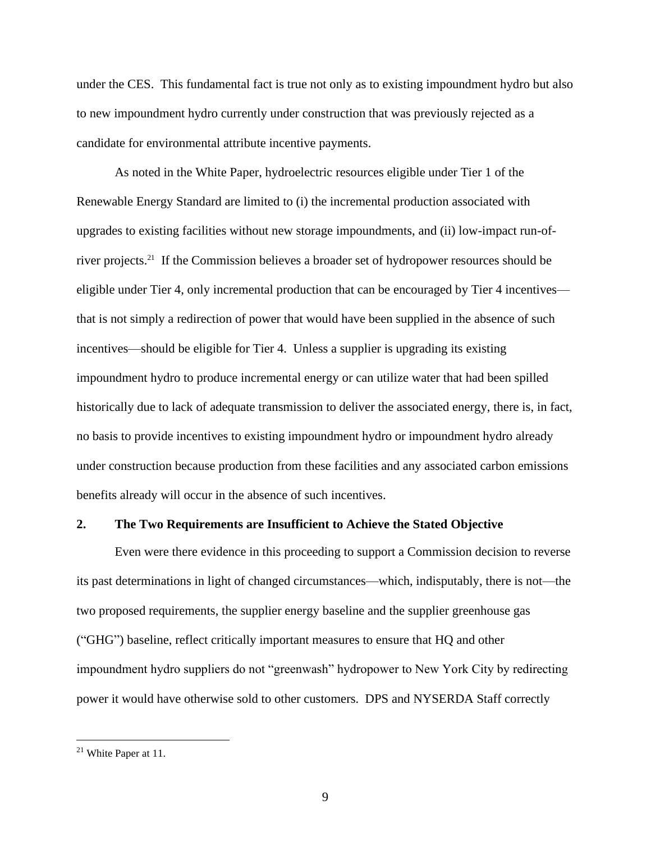under the CES. This fundamental fact is true not only as to existing impoundment hydro but also to new impoundment hydro currently under construction that was previously rejected as a candidate for environmental attribute incentive payments.

As noted in the White Paper, hydroelectric resources eligible under Tier 1 of the Renewable Energy Standard are limited to (i) the incremental production associated with upgrades to existing facilities without new storage impoundments, and (ii) low-impact run-ofriver projects.<sup>21</sup> If the Commission believes a broader set of hydropower resources should be eligible under Tier 4, only incremental production that can be encouraged by Tier 4 incentives that is not simply a redirection of power that would have been supplied in the absence of such incentives—should be eligible for Tier 4. Unless a supplier is upgrading its existing impoundment hydro to produce incremental energy or can utilize water that had been spilled historically due to lack of adequate transmission to deliver the associated energy, there is, in fact, no basis to provide incentives to existing impoundment hydro or impoundment hydro already under construction because production from these facilities and any associated carbon emissions benefits already will occur in the absence of such incentives.

#### **2. The Two Requirements are Insufficient to Achieve the Stated Objective**

Even were there evidence in this proceeding to support a Commission decision to reverse its past determinations in light of changed circumstances—which, indisputably, there is not—the two proposed requirements, the supplier energy baseline and the supplier greenhouse gas ("GHG") baseline, reflect critically important measures to ensure that HQ and other impoundment hydro suppliers do not "greenwash" hydropower to New York City by redirecting power it would have otherwise sold to other customers. DPS and NYSERDA Staff correctly

<sup>21</sup> White Paper at 11.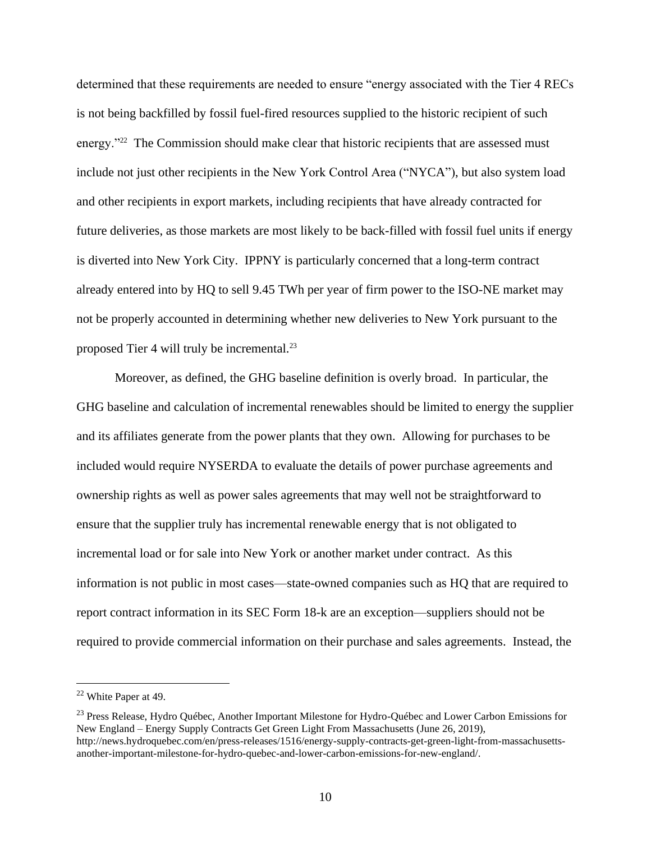determined that these requirements are needed to ensure "energy associated with the Tier 4 RECs is not being backfilled by fossil fuel-fired resources supplied to the historic recipient of such energy."<sup>22</sup> The Commission should make clear that historic recipients that are assessed must include not just other recipients in the New York Control Area ("NYCA"), but also system load and other recipients in export markets, including recipients that have already contracted for future deliveries, as those markets are most likely to be back-filled with fossil fuel units if energy is diverted into New York City. IPPNY is particularly concerned that a long-term contract already entered into by HQ to sell 9.45 TWh per year of firm power to the ISO-NE market may not be properly accounted in determining whether new deliveries to New York pursuant to the proposed Tier 4 will truly be incremental.<sup>23</sup>

Moreover, as defined, the GHG baseline definition is overly broad. In particular, the GHG baseline and calculation of incremental renewables should be limited to energy the supplier and its affiliates generate from the power plants that they own. Allowing for purchases to be included would require NYSERDA to evaluate the details of power purchase agreements and ownership rights as well as power sales agreements that may well not be straightforward to ensure that the supplier truly has incremental renewable energy that is not obligated to incremental load or for sale into New York or another market under contract. As this information is not public in most cases—state-owned companies such as HQ that are required to report contract information in its SEC Form 18-k are an exception—suppliers should not be required to provide commercial information on their purchase and sales agreements. Instead, the

<sup>22</sup> White Paper at 49.

<sup>&</sup>lt;sup>23</sup> Press Release, Hydro Québec, Another Important Milestone for Hydro-Québec and Lower Carbon Emissions for New England – Energy Supply Contracts Get Green Light From Massachusetts (June 26, 2019), http://news.hydroquebec.com/en/press-releases/1516/energy-supply-contracts-get-green-light-from-massachusettsanother-important-milestone-for-hydro-quebec-and-lower-carbon-emissions-for-new-england/.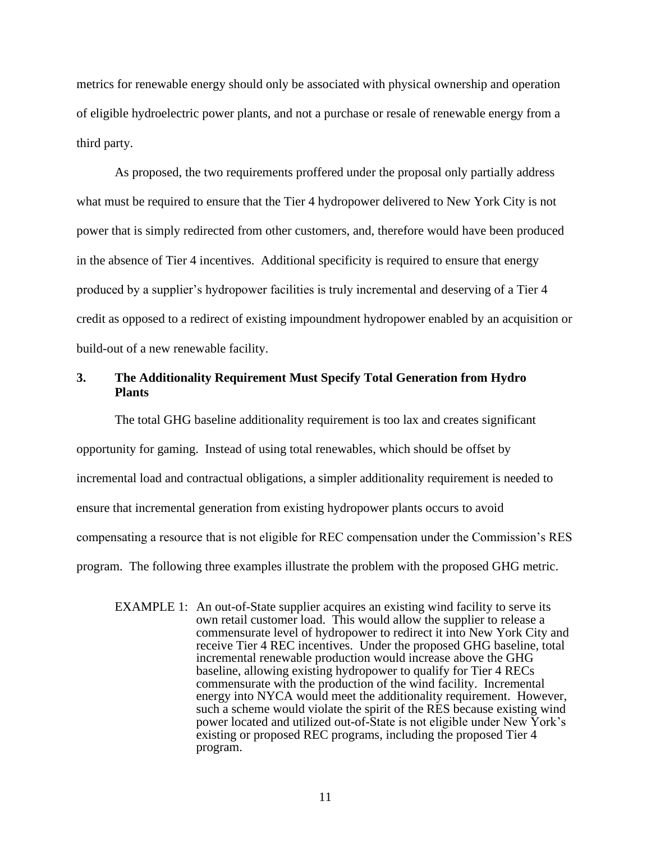metrics for renewable energy should only be associated with physical ownership and operation of eligible hydroelectric power plants, and not a purchase or resale of renewable energy from a third party.

As proposed, the two requirements proffered under the proposal only partially address what must be required to ensure that the Tier 4 hydropower delivered to New York City is not power that is simply redirected from other customers, and, therefore would have been produced in the absence of Tier 4 incentives. Additional specificity is required to ensure that energy produced by a supplier's hydropower facilities is truly incremental and deserving of a Tier 4 credit as opposed to a redirect of existing impoundment hydropower enabled by an acquisition or build-out of a new renewable facility.

### **3. The Additionality Requirement Must Specify Total Generation from Hydro Plants**

The total GHG baseline additionality requirement is too lax and creates significant opportunity for gaming. Instead of using total renewables, which should be offset by incremental load and contractual obligations, a simpler additionality requirement is needed to ensure that incremental generation from existing hydropower plants occurs to avoid compensating a resource that is not eligible for REC compensation under the Commission's RES program. The following three examples illustrate the problem with the proposed GHG metric.

EXAMPLE 1: An out-of-State supplier acquires an existing wind facility to serve its own retail customer load. This would allow the supplier to release a commensurate level of hydropower to redirect it into New York City and receive Tier 4 REC incentives. Under the proposed GHG baseline, total incremental renewable production would increase above the GHG baseline, allowing existing hydropower to qualify for Tier 4 RECs commensurate with the production of the wind facility. Incremental energy into NYCA would meet the additionality requirement. However, such a scheme would violate the spirit of the RES because existing wind power located and utilized out-of-State is not eligible under New York's existing or proposed REC programs, including the proposed Tier 4 program.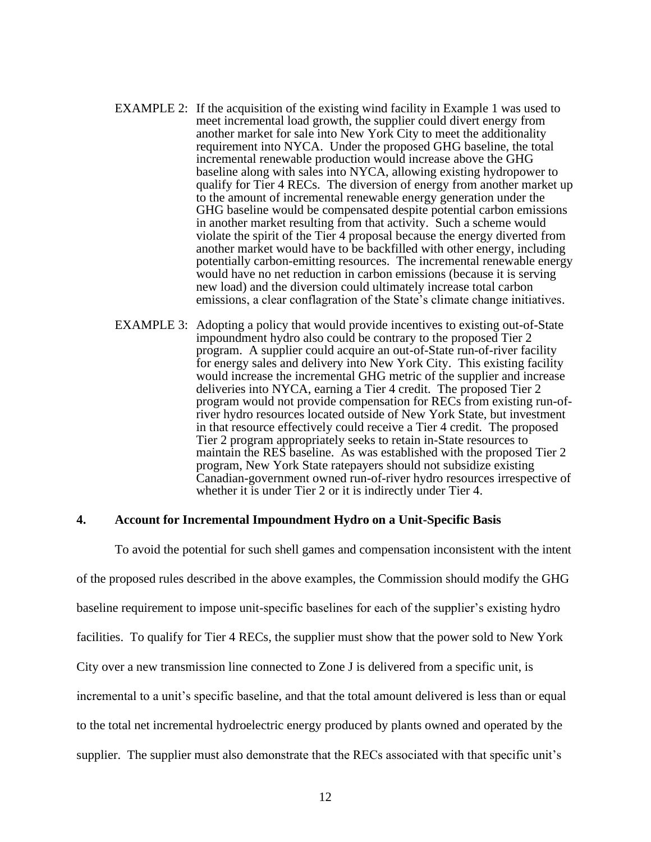- EXAMPLE 2: If the acquisition of the existing wind facility in Example 1 was used to meet incremental load growth, the supplier could divert energy from another market for sale into New York City to meet the additionality requirement into NYCA. Under the proposed GHG baseline, the total incremental renewable production would increase above the GHG baseline along with sales into NYCA, allowing existing hydropower to qualify for Tier 4 RECs. The diversion of energy from another market up to the amount of incremental renewable energy generation under the GHG baseline would be compensated despite potential carbon emissions in another market resulting from that activity. Such a scheme would violate the spirit of the Tier 4 proposal because the energy diverted from another market would have to be backfilled with other energy, including potentially carbon-emitting resources. The incremental renewable energy would have no net reduction in carbon emissions (because it is serving new load) and the diversion could ultimately increase total carbon emissions, a clear conflagration of the State's climate change initiatives.
- EXAMPLE 3: Adopting a policy that would provide incentives to existing out-of-State impoundment hydro also could be contrary to the proposed Tier 2 program. A supplier could acquire an out-of-State run-of-river facility for energy sales and delivery into New York City. This existing facility would increase the incremental GHG metric of the supplier and increase deliveries into NYCA, earning a Tier 4 credit. The proposed Tier 2 program would not provide compensation for RECs from existing run-ofriver hydro resources located outside of New York State, but investment in that resource effectively could receive a Tier 4 credit. The proposed Tier 2 program appropriately seeks to retain in-State resources to maintain the RES baseline. As was established with the proposed Tier 2 program, New York State ratepayers should not subsidize existing Canadian-government owned run-of-river hydro resources irrespective of whether it is under Tier 2 or it is indirectly under Tier 4.

#### **4. Account for Incremental Impoundment Hydro on a Unit-Specific Basis**

To avoid the potential for such shell games and compensation inconsistent with the intent of the proposed rules described in the above examples, the Commission should modify the GHG baseline requirement to impose unit-specific baselines for each of the supplier's existing hydro facilities. To qualify for Tier 4 RECs, the supplier must show that the power sold to New York City over a new transmission line connected to Zone J is delivered from a specific unit, is incremental to a unit's specific baseline, and that the total amount delivered is less than or equal to the total net incremental hydroelectric energy produced by plants owned and operated by the supplier. The supplier must also demonstrate that the RECs associated with that specific unit's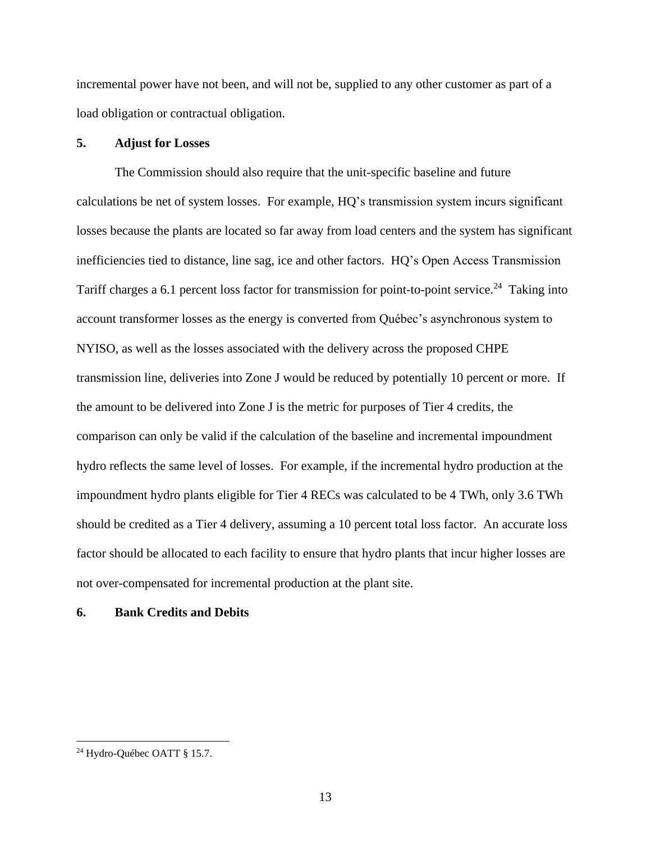incremental power have not been, and will not be, supplied to any other customer as part of a load obligation or contractual obligation.

#### **5. Adjust for Losses**

The Commission should also require that the unit-specific baseline and future calculations be net of system losses. For example, HQ's transmission system incurs significant losses because the plants are located so far away from load centers and the system has significant inefficiencies tied to distance, line sag, ice and other factors. HQ's Open Access Transmission Tariff charges a 6.1 percent loss factor for transmission for point-to-point service.<sup>24</sup> Taking into account transformer losses as the energy is converted from Québec's asynchronous system to NYISO, as well as the losses associated with the delivery across the proposed CHPE transmission line, deliveries into Zone J would be reduced by potentially 10 percent or more. If the amount to be delivered into Zone J is the metric for purposes of Tier 4 credits, the comparison can only be valid if the calculation of the baseline and incremental impoundment hydro reflects the same level of losses. For example, if the incremental hydro production at the impoundment hydro plants eligible for Tier 4 RECs was calculated to be 4 TWh, only 3.6 TWh should be credited as a Tier 4 delivery, assuming a 10 percent total loss factor. An accurate loss factor should be allocated to each facility to ensure that hydro plants that incur higher losses are not over-compensated for incremental production at the plant site.

#### **6. Bank Credits and Debits**

<sup>&</sup>lt;sup>24</sup> Hydro-Québec OATT § 15.7.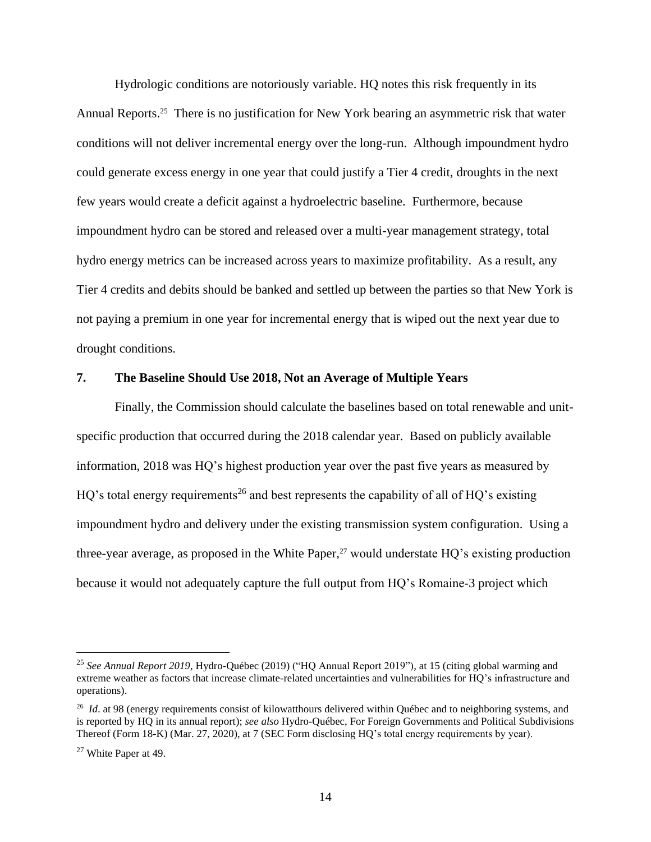Hydrologic conditions are notoriously variable. HQ notes this risk frequently in its Annual Reports.<sup>25</sup> There is no justification for New York bearing an asymmetric risk that water conditions will not deliver incremental energy over the long-run. Although impoundment hydro could generate excess energy in one year that could justify a Tier 4 credit, droughts in the next few years would create a deficit against a hydroelectric baseline. Furthermore, because impoundment hydro can be stored and released over a multi-year management strategy, total hydro energy metrics can be increased across years to maximize profitability. As a result, any Tier 4 credits and debits should be banked and settled up between the parties so that New York is not paying a premium in one year for incremental energy that is wiped out the next year due to drought conditions.

#### **7. The Baseline Should Use 2018, Not an Average of Multiple Years**

Finally, the Commission should calculate the baselines based on total renewable and unitspecific production that occurred during the 2018 calendar year. Based on publicly available information, 2018 was HQ's highest production year over the past five years as measured by HQ's total energy requirements<sup>26</sup> and best represents the capability of all of HQ's existing impoundment hydro and delivery under the existing transmission system configuration. Using a three-year average, as proposed in the White Paper,<sup>27</sup> would understate HQ's existing production because it would not adequately capture the full output from HQ's Romaine-3 project which

<sup>25</sup> *See Annual Report 2019*, Hydro-Québec (2019) ("HQ Annual Report 2019"), at 15 (citing global warming and extreme weather as factors that increase climate-related uncertainties and vulnerabilities for HQ's infrastructure and operations).

<sup>&</sup>lt;sup>26</sup> *Id.* at 98 (energy requirements consist of kilowatthours delivered within Québec and to neighboring systems, and is reported by HQ in its annual report); *see also* Hydro-Québec, For Foreign Governments and Political Subdivisions Thereof (Form 18-K) (Mar. 27, 2020), at 7 (SEC Form disclosing HQ's total energy requirements by year).

<sup>27</sup> White Paper at 49.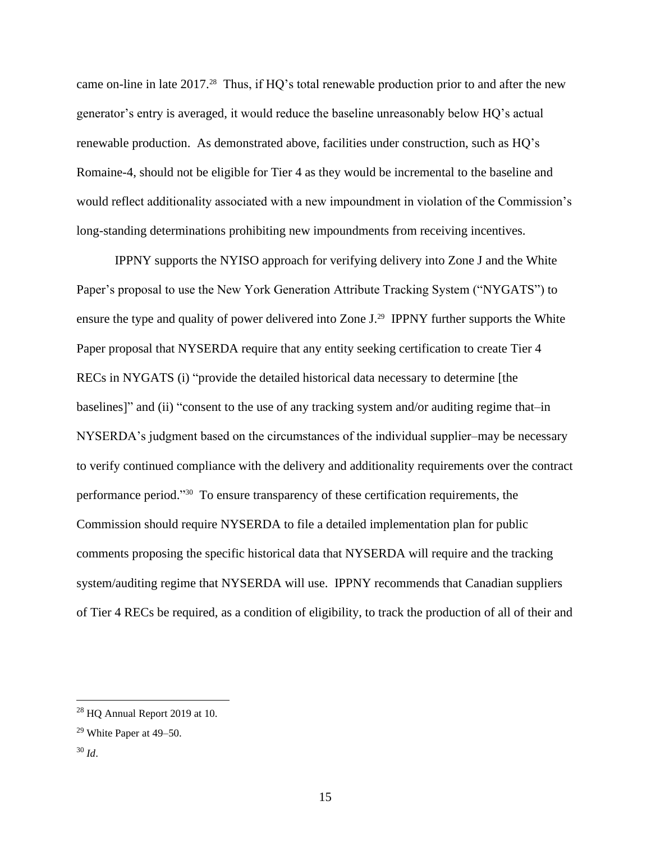came on-line in late 2017.<sup>28</sup> Thus, if HQ's total renewable production prior to and after the new generator's entry is averaged, it would reduce the baseline unreasonably below HQ's actual renewable production. As demonstrated above, facilities under construction, such as HQ's Romaine-4, should not be eligible for Tier 4 as they would be incremental to the baseline and would reflect additionality associated with a new impoundment in violation of the Commission's long-standing determinations prohibiting new impoundments from receiving incentives.

IPPNY supports the NYISO approach for verifying delivery into Zone J and the White Paper's proposal to use the New York Generation Attribute Tracking System ("NYGATS") to ensure the type and quality of power delivered into Zone  $J^{29}$  IPPNY further supports the White Paper proposal that NYSERDA require that any entity seeking certification to create Tier 4 RECs in NYGATS (i) "provide the detailed historical data necessary to determine [the baselines]" and (ii) "consent to the use of any tracking system and/or auditing regime that–in NYSERDA's judgment based on the circumstances of the individual supplier–may be necessary to verify continued compliance with the delivery and additionality requirements over the contract performance period." <sup>30</sup> To ensure transparency of these certification requirements, the Commission should require NYSERDA to file a detailed implementation plan for public comments proposing the specific historical data that NYSERDA will require and the tracking system/auditing regime that NYSERDA will use. IPPNY recommends that Canadian suppliers of Tier 4 RECs be required, as a condition of eligibility, to track the production of all of their and

<sup>28</sup> HQ Annual Report 2019 at 10.

 $29$  White Paper at 49–50.

<sup>30</sup> *Id*.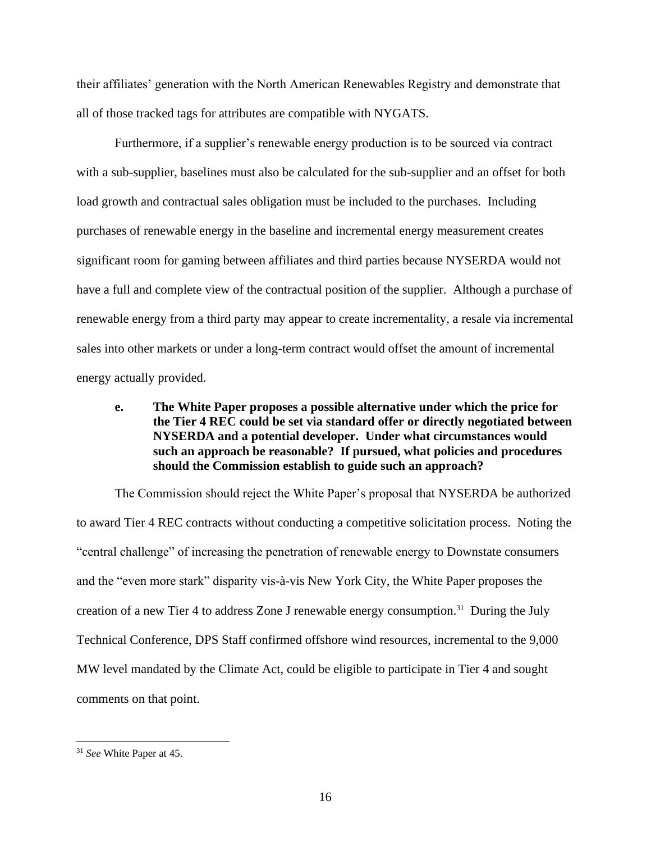their affiliates' generation with the North American Renewables Registry and demonstrate that all of those tracked tags for attributes are compatible with NYGATS.

Furthermore, if a supplier's renewable energy production is to be sourced via contract with a sub-supplier, baselines must also be calculated for the sub-supplier and an offset for both load growth and contractual sales obligation must be included to the purchases. Including purchases of renewable energy in the baseline and incremental energy measurement creates significant room for gaming between affiliates and third parties because NYSERDA would not have a full and complete view of the contractual position of the supplier. Although a purchase of renewable energy from a third party may appear to create incrementality, a resale via incremental sales into other markets or under a long-term contract would offset the amount of incremental energy actually provided.

## **e. The White Paper proposes a possible alternative under which the price for the Tier 4 REC could be set via standard offer or directly negotiated between NYSERDA and a potential developer. Under what circumstances would such an approach be reasonable? If pursued, what policies and procedures should the Commission establish to guide such an approach?**

The Commission should reject the White Paper's proposal that NYSERDA be authorized to award Tier 4 REC contracts without conducting a competitive solicitation process. Noting the "central challenge" of increasing the penetration of renewable energy to Downstate consumers and the "even more stark" disparity vis-à-vis New York City, the White Paper proposes the creation of a new Tier 4 to address Zone J renewable energy consumption.<sup>31</sup> During the July Technical Conference, DPS Staff confirmed offshore wind resources, incremental to the 9,000 MW level mandated by the Climate Act, could be eligible to participate in Tier 4 and sought comments on that point.

<sup>31</sup> *See* White Paper at 45.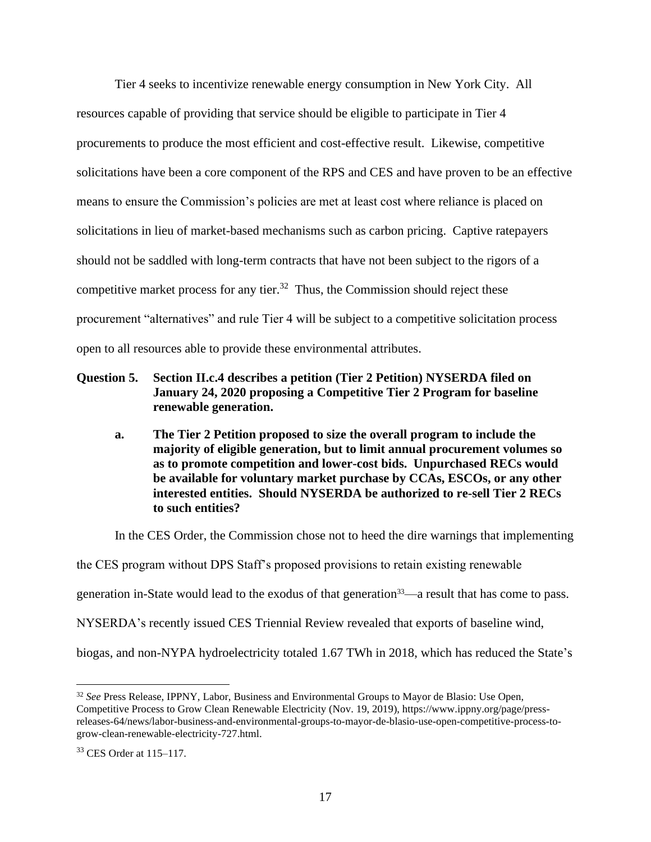Tier 4 seeks to incentivize renewable energy consumption in New York City. All resources capable of providing that service should be eligible to participate in Tier 4 procurements to produce the most efficient and cost-effective result. Likewise, competitive solicitations have been a core component of the RPS and CES and have proven to be an effective means to ensure the Commission's policies are met at least cost where reliance is placed on solicitations in lieu of market-based mechanisms such as carbon pricing. Captive ratepayers should not be saddled with long-term contracts that have not been subject to the rigors of a competitive market process for any tier.<sup>32</sup> Thus, the Commission should reject these procurement "alternatives" and rule Tier 4 will be subject to a competitive solicitation process open to all resources able to provide these environmental attributes.

# **Question 5. Section II.c.4 describes a petition (Tier 2 Petition) NYSERDA filed on January 24, 2020 proposing a Competitive Tier 2 Program for baseline renewable generation.**

**a. The Tier 2 Petition proposed to size the overall program to include the majority of eligible generation, but to limit annual procurement volumes so as to promote competition and lower-cost bids. Unpurchased RECs would be available for voluntary market purchase by CCAs, ESCOs, or any other interested entities. Should NYSERDA be authorized to re-sell Tier 2 RECs to such entities?**

In the CES Order, the Commission chose not to heed the dire warnings that implementing

the CES program without DPS Staff's proposed provisions to retain existing renewable

generation in-State would lead to the exodus of that generation<sup>33</sup>—a result that has come to pass.

NYSERDA's recently issued CES Triennial Review revealed that exports of baseline wind,

biogas, and non-NYPA hydroelectricity totaled 1.67 TWh in 2018, which has reduced the State's

<sup>32</sup> *See* Press Release, IPPNY, Labor, Business and Environmental Groups to Mayor de Blasio: Use Open, Competitive Process to Grow Clean Renewable Electricity (Nov. 19, 2019), https://www.ippny.org/page/pressreleases-64/news/labor-business-and-environmental-groups-to-mayor-de-blasio-use-open-competitive-process-togrow-clean-renewable-electricity-727.html.

<sup>33</sup> CES Order at 115–117.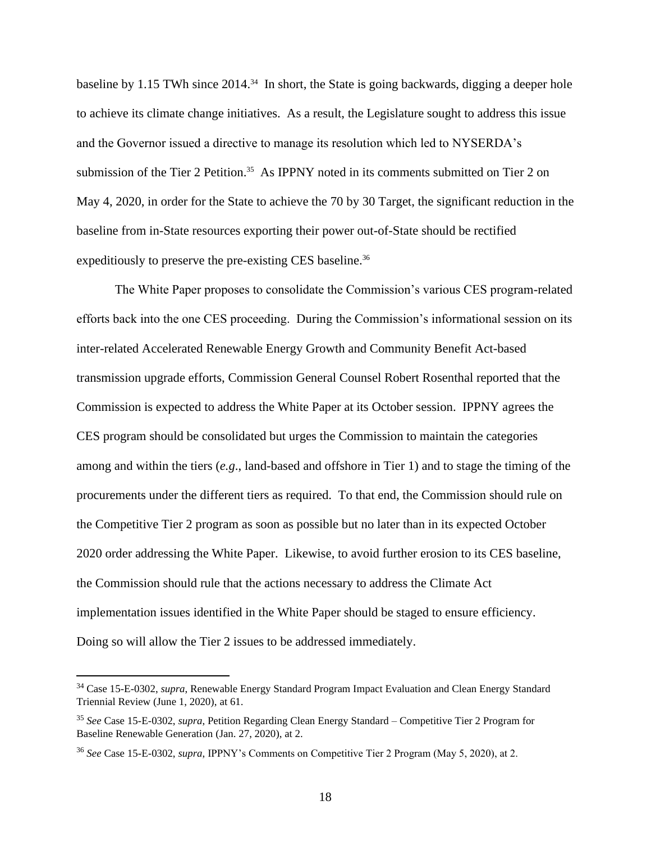baseline by 1.15 TWh since 2014. 34 In short, the State is going backwards, digging a deeper hole to achieve its climate change initiatives. As a result, the Legislature sought to address this issue and the Governor issued a directive to manage its resolution which led to NYSERDA's submission of the Tier 2 Petition.<sup>35</sup> As IPPNY noted in its comments submitted on Tier 2 on May 4, 2020, in order for the State to achieve the 70 by 30 Target, the significant reduction in the baseline from in-State resources exporting their power out-of-State should be rectified expeditiously to preserve the pre-existing CES baseline.<sup>36</sup>

The White Paper proposes to consolidate the Commission's various CES program-related efforts back into the one CES proceeding. During the Commission's informational session on its inter-related Accelerated Renewable Energy Growth and Community Benefit Act-based transmission upgrade efforts, Commission General Counsel Robert Rosenthal reported that the Commission is expected to address the White Paper at its October session. IPPNY agrees the CES program should be consolidated but urges the Commission to maintain the categories among and within the tiers (*e.g*., land-based and offshore in Tier 1) and to stage the timing of the procurements under the different tiers as required. To that end, the Commission should rule on the Competitive Tier 2 program as soon as possible but no later than in its expected October 2020 order addressing the White Paper. Likewise, to avoid further erosion to its CES baseline, the Commission should rule that the actions necessary to address the Climate Act implementation issues identified in the White Paper should be staged to ensure efficiency. Doing so will allow the Tier 2 issues to be addressed immediately.

<sup>34</sup> Case 15-E-0302, *supra*, Renewable Energy Standard Program Impact Evaluation and Clean Energy Standard Triennial Review (June 1, 2020), at 61.

<sup>35</sup> *See* Case 15-E-0302, *supra*, Petition Regarding Clean Energy Standard – Competitive Tier 2 Program for Baseline Renewable Generation (Jan. 27, 2020), at 2.

<sup>36</sup> *See* Case 15-E-0302, *supra*, IPPNY's Comments on Competitive Tier 2 Program (May 5, 2020), at 2.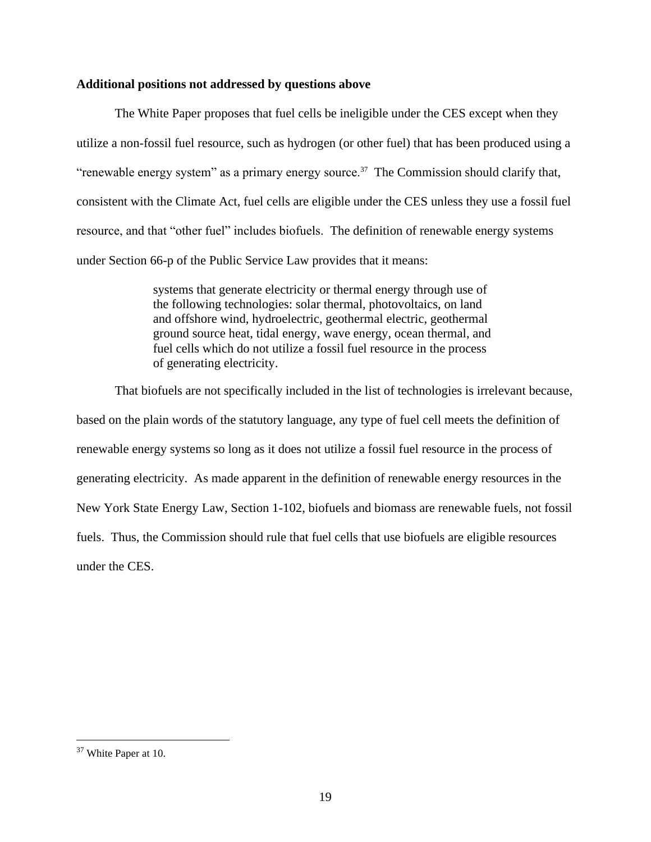#### **Additional positions not addressed by questions above**

The White Paper proposes that fuel cells be ineligible under the CES except when they utilize a non-fossil fuel resource, such as hydrogen (or other fuel) that has been produced using a "renewable energy system" as a primary energy source.<sup>37</sup> The Commission should clarify that, consistent with the Climate Act, fuel cells are eligible under the CES unless they use a fossil fuel resource, and that "other fuel" includes biofuels. The definition of renewable energy systems under Section 66-p of the Public Service Law provides that it means:

> systems that generate electricity or thermal energy through use of the following technologies: solar thermal, photovoltaics, on land and offshore wind, hydroelectric, geothermal electric, geothermal ground source heat, tidal energy, wave energy, ocean thermal, and fuel cells which do not utilize a fossil fuel resource in the process of generating electricity.

That biofuels are not specifically included in the list of technologies is irrelevant because, based on the plain words of the statutory language, any type of fuel cell meets the definition of renewable energy systems so long as it does not utilize a fossil fuel resource in the process of generating electricity. As made apparent in the definition of renewable energy resources in the New York State Energy Law, Section 1-102, biofuels and biomass are renewable fuels, not fossil fuels. Thus, the Commission should rule that fuel cells that use biofuels are eligible resources under the CES.

<sup>37</sup> White Paper at 10.